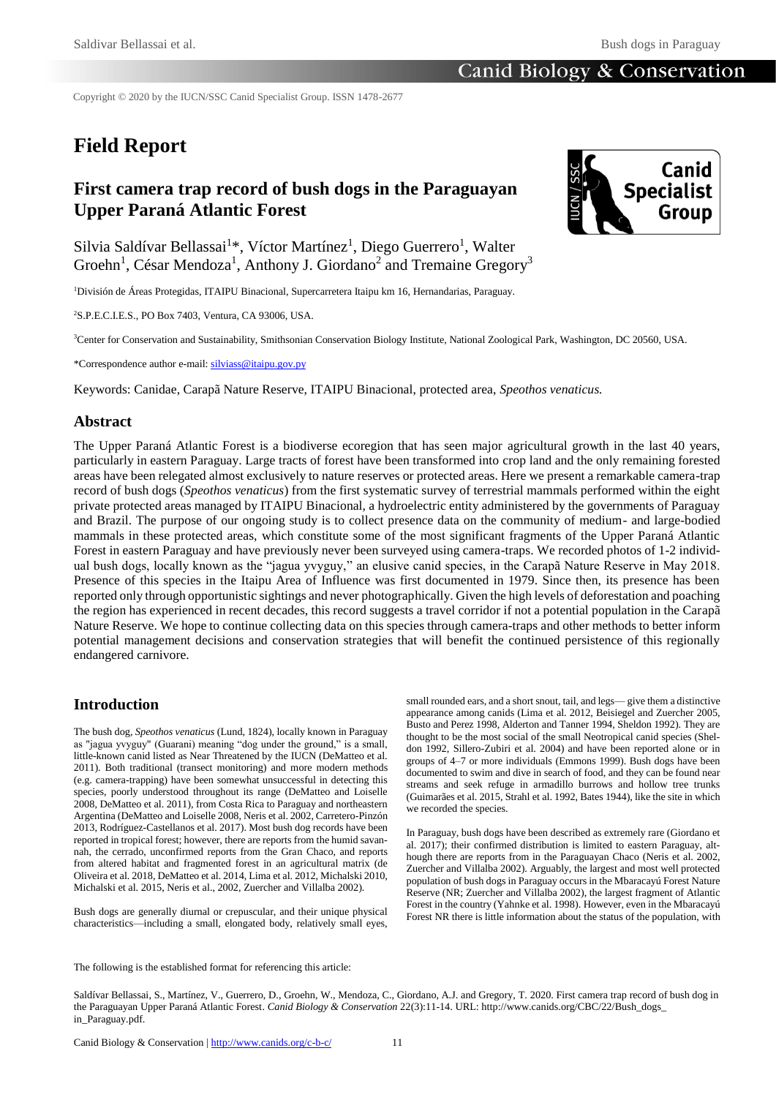Copyright © 2020 by the IUCN/SSC Canid Specialist Group. ISSN 1478-2677

# **Field Report**

# **First camera trap record of bush dogs in the Paraguayan Upper Paraná Atlantic Forest**



Silvia Saldívar Bellassai<sup>1</sup>\*, Víctor Martínez<sup>1</sup>, Diego Guerrero<sup>1</sup>, Walter Groehn<sup>1</sup>, César Mendoza<sup>1</sup>, Anthony J. Giordano<sup>2</sup> and Tremaine Gregory<sup>3</sup>

<sup>1</sup>División de Áreas Protegidas, ITAIPU Binacional, Supercarretera Itaipu km 16, Hernandarias, Paraguay.

<sup>2</sup>S.P.E.C.I.E.S., PO Box 7403, Ventura, CA 93006, USA.

<sup>3</sup>Center for Conservation and Sustainability, Smithsonian Conservation Biology Institute, National Zoological Park, Washington, DC 20560, USA.

\*Correspondence author e-mail: [silviass@itaipu.gov.py](mailto:silviass@itaipu.gov.py)

Keywords: Canidae, Carapã Nature Reserve, ITAIPU Binacional, protected area, *Speothos venaticus.*

## **Abstract**

The Upper Paraná Atlantic Forest is a biodiverse ecoregion that has seen major agricultural growth in the last 40 years, particularly in eastern Paraguay. Large tracts of forest have been transformed into crop land and the only remaining forested areas have been relegated almost exclusively to nature reserves or protected areas. Here we present a remarkable camera-trap record of bush dogs (*Speothos venaticus*) from the first systematic survey of terrestrial mammals performed within the eight private protected areas managed by ITAIPU Binacional, a hydroelectric entity administered by the governments of Paraguay and Brazil. The purpose of our ongoing study is to collect presence data on the community of medium- and large-bodied mammals in these protected areas, which constitute some of the most significant fragments of the Upper Paraná Atlantic Forest in eastern Paraguay and have previously never been surveyed using camera-traps. We recorded photos of 1-2 individual bush dogs, locally known as the "jagua yvyguy," an elusive canid species, in the Carapã Nature Reserve in May 2018. Presence of this species in the Itaipu Area of Influence was first documented in 1979. Since then, its presence has been reported only through opportunistic sightings and never photographically. Given the high levels of deforestation and poaching the region has experienced in recent decades, this record suggests a travel corridor if not a potential population in the Carapã Nature Reserve. We hope to continue collecting data on this species through camera-traps and other methods to better inform potential management decisions and conservation strategies that will benefit the continued persistence of this regionally endangered carnivore.

# **Introduction**

The bush dog, *Speothos venaticus* (Lund, 1824), locally known in Paraguay as "jagua yvyguy" (Guarani) meaning "dog under the ground," is a small, little-known canid listed as Near Threatened by the IUCN (DeMatteo et al. 2011). Both traditional (transect monitoring) and more modern methods (e.g. camera-trapping) have been somewhat unsuccessful in detecting this species, poorly understood throughout its range (DeMatteo and Loiselle 2008, DeMatteo et al. 2011), from Costa Rica to Paraguay and northeastern Argentina (DeMatteo and Loiselle 2008, Neris et al. 2002, Carretero-Pinzón 2013, Rodríguez-Castellanos et al. 2017). Most bush dog records have been reported in tropical forest; however, there are reports from the humid savannah, the cerrado, unconfirmed reports from the Gran Chaco, and reports from altered habitat and fragmented forest in an agricultural matrix (de Oliveira et al. 2018, DeMatteo et al. 2014, Lima et al. 2012, Michalski 2010, Michalski et al. 2015, Neris et al., 2002, Zuercher and Villalba 2002).

Bush dogs are generally diurnal or crepuscular, and their unique physical characteristics—including a small, elongated body, relatively small eyes, small rounded ears, and a short snout, tail, and legs— give them a distinctive appearance among canids (Lima et al. 2012, Beisiegel and Zuercher 2005, Busto and Perez 1998, Alderton and Tanner 1994, Sheldon 1992). They are thought to be the most social of the small Neotropical canid species (Sheldon 1992, Sillero-Zubiri et al. 2004) and have been reported alone or in groups of 4–7 or more individuals (Emmons 1999). Bush dogs have been documented to swim and dive in search of food, and they can be found near streams and seek refuge in armadillo burrows and hollow tree trunks (Guimarães et al. 2015, Strahl et al. 1992, Bates 1944), like the site in which we recorded the species.

In Paraguay, bush dogs have been described as extremely rare (Giordano et al. 2017); their confirmed distribution is limited to eastern Paraguay, although there are reports from in the Paraguayan Chaco (Neris et al. 2002, Zuercher and Villalba 2002). Arguably, the largest and most well protected population of bush dogs in Paraguay occurs in the Mbaracayú Forest Nature Reserve (NR; Zuercher and Villalba 2002), the largest fragment of Atlantic Forest in the country (Yahnke et al. 1998). However, even in the Mbaracayú Forest NR there is little information about the status of the population, with

The following is the established format for referencing this article:

Saldívar Bellassai, S., Martínez, V., Guerrero, D., Groehn, W., Mendoza, C., Giordano, A.J. and Gregory, T. 2020. First camera trap record of bush dog in the Paraguayan Upper Paraná Atlantic Forest. *Canid Biology & Conservation* 22(3):11-14. URL: http://www.canids.org/CBC/22/Bush\_dogs\_ in\_Paraguay.pdf.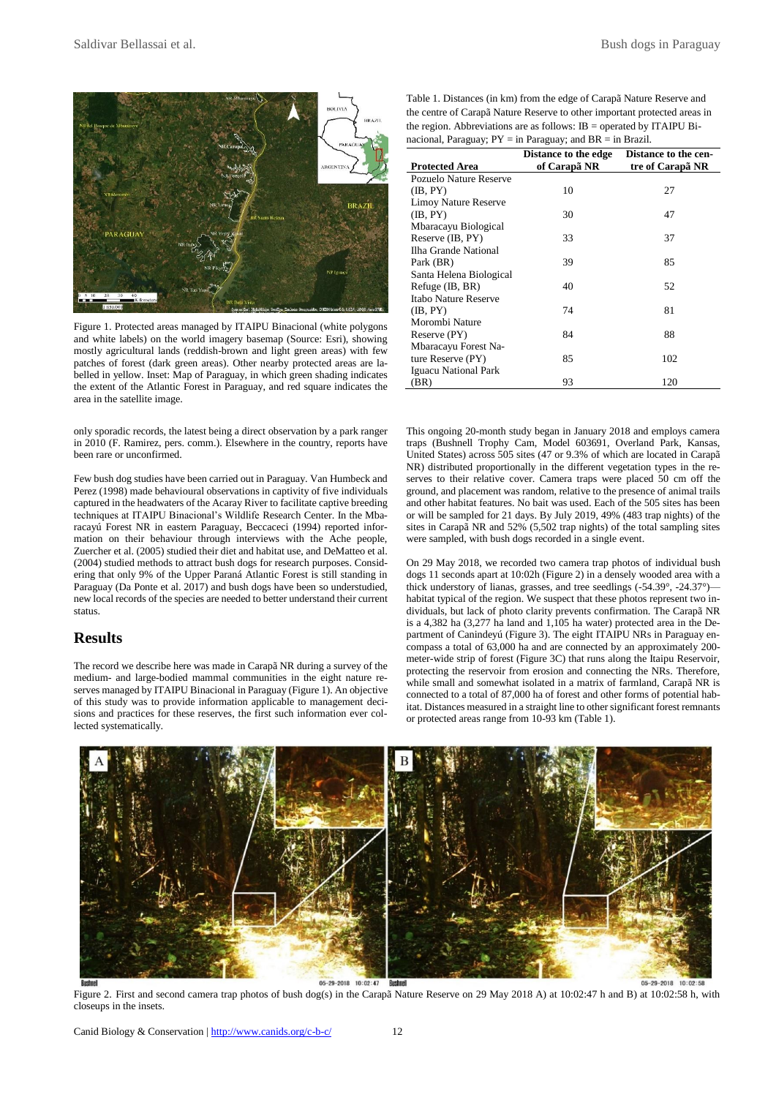

Figure 1. Protected areas managed by ITAIPU Binacional (white polygons and white labels) on the world imagery basemap (Source: Esri), showing mostly agricultural lands (reddish-brown and light green areas) with few patches of forest (dark green areas). Other nearby protected areas are labelled in yellow. Inset: Map of Paraguay, in which green shading indicates the extent of the Atlantic Forest in Paraguay, and red square indicates the area in the satellite image.

only sporadic records, the latest being a direct observation by a park ranger in 2010 (F. Ramirez, pers. comm.). Elsewhere in the country, reports have been rare or unconfirmed.

Few bush dog studies have been carried out in Paraguay. Van Humbeck and Perez (1998) made behavioural observations in captivity of five individuals captured in the headwaters of the Acaray River to facilitate captive breeding techniques at ITAIPU Binacional's Wildlife Research Center. In the Mbaracayú Forest NR in eastern Paraguay, Beccaceci (1994) reported information on their behaviour through interviews with the Ache people, Zuercher et al. (2005) studied their diet and habitat use, and DeMatteo et al. (2004) studied methods to attract bush dogs for research purposes. Considering that only 9% of the Upper Paraná Atlantic Forest is still standing in Paraguay (Da Ponte et al. 2017) and bush dogs have been so understudied, new local records of the species are needed to better understand their current status.

#### **Results**

The record we describe here was made in Carapã NR during a survey of the medium- and large-bodied mammal communities in the eight nature reserves managed by ITAIPU Binacional in Paraguay (Figure 1). An objective of this study was to provide information applicable to management decisions and practices for these reserves, the first such information ever collected systematically.

Table 1. Distances (in km) from the edge of Carapã Nature Reserve and the centre of Carapã Nature Reserve to other important protected areas in the region. Abbreviations are as follows: IB = operated by ITAIPU Binacional, Paraguay;  $PY = in$  Paraguay; and  $BR = in$  Brazil

|                         | Distance to the edge | Distance to the cen- |
|-------------------------|----------------------|----------------------|
| <b>Protected Area</b>   | of Carapã NR         | tre of Carapã NR     |
| Pozuelo Nature Reserve  |                      |                      |
| (B, PY)                 | 10                   | 27                   |
| Limoy Nature Reserve    |                      |                      |
| (B, PY)                 | 30                   | 47                   |
| Mbaracayu Biological    |                      |                      |
| Reserve (IB, PY)        | 33                   | 37                   |
| Ilha Grande National    |                      |                      |
| Park (BR)               | 39                   | 85                   |
| Santa Helena Biological |                      |                      |
| Refuge (IB, BR)         | 40                   | 52                   |
| Itabo Nature Reserve    |                      |                      |
| (B, PY)                 | 74                   | 81                   |
| Morombi Nature          |                      |                      |
| Reserve (PY)            | 84                   | 88                   |
| Mbaracayu Forest Na-    |                      |                      |
| ture Reserve (PY)       | 85                   | 102                  |
| Iguacu National Park    |                      |                      |
| (BR)                    | 93                   | 120                  |

This ongoing 20-month study began in January 2018 and employs camera traps (Bushnell Trophy Cam, Model 603691, Overland Park, Kansas, United States) across 505 sites (47 or 9.3% of which are located in Carapã NR) distributed proportionally in the different vegetation types in the reserves to their relative cover. Camera traps were placed 50 cm off the ground, and placement was random, relative to the presence of animal trails and other habitat features. No bait was used. Each of the 505 sites has been or will be sampled for 21 days. By July 2019, 49% (483 trap nights) of the sites in Carapã NR and 52% (5,502 trap nights) of the total sampling sites were sampled, with bush dogs recorded in a single event.

On 29 May 2018, we recorded two camera trap photos of individual bush dogs 11 seconds apart at 10:02h (Figure 2) in a densely wooded area with a thick understory of lianas, grasses, and tree seedlings (-54.39°, -24.37°) habitat typical of the region. We suspect that these photos represent two individuals, but lack of photo clarity prevents confirmation. The Carapã NR is a 4,382 ha (3,277 ha land and 1,105 ha water) protected area in the Department of Canindeyú (Figure 3). The eight ITAIPU NRs in Paraguay encompass a total of 63,000 ha and are connected by an approximately 200 meter-wide strip of forest (Figure 3C) that runs along the Itaipu Reservoir, protecting the reservoir from erosion and connecting the NRs. Therefore, while small and somewhat isolated in a matrix of farmland, Carapã NR is connected to a total of 87,000 ha of forest and other forms of potential habitat. Distances measured in a straight line to other significant forest remnants or protected areas range from 10-93 km (Table 1).



Figure 2. First and second camera trap photos of bush dog(s) in the Carapã Nature Reserve on 29 May 2018 A) at 10:02:47 h and B) at 10:02:58 h, with closeups in the insets.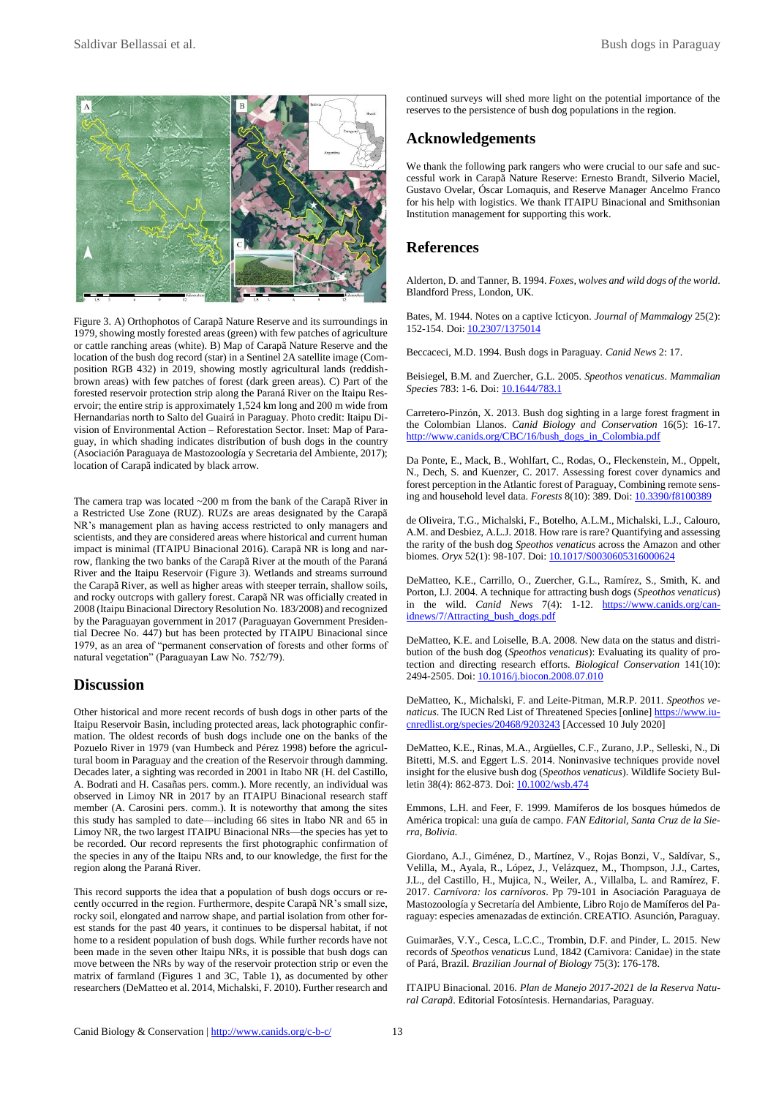

Figure 3. A) Orthophotos of Carapã Nature Reserve and its surroundings in 1979, showing mostly forested areas (green) with few patches of agriculture or cattle ranching areas (white). B) Map of Carapã Nature Reserve and the location of the bush dog record (star) in a Sentinel 2A satellite image (Composition RGB 432) in 2019, showing mostly agricultural lands (reddishbrown areas) with few patches of forest (dark green areas). C) Part of the forested reservoir protection strip along the Paraná River on the Itaipu Reservoir; the entire strip is approximately 1,524 km long and 200 m wide from Hernandarias north to Salto del Guairá in Paraguay. Photo credit: Itaipu Division of Environmental Action – Reforestation Sector. Inset: Map of Paraguay, in which shading indicates distribution of bush dogs in the country (Asociación Paraguaya de Mastozoología y Secretaria del Ambiente, 2017); location of Carapã indicated by black arrow.

The camera trap was located ~200 m from the bank of the Carapã River in a Restricted Use Zone (RUZ). RUZs are areas designated by the Carapã NR's management plan as having access restricted to only managers and scientists, and they are considered areas where historical and current human impact is minimal (ITAIPU Binacional 2016). Carapã NR is long and narrow, flanking the two banks of the Carapã River at the mouth of the Paraná River and the Itaipu Reservoir (Figure 3). Wetlands and streams surround the Carapã River, as well as higher areas with steeper terrain, shallow soils, and rocky outcrops with gallery forest. Carapã NR was officially created in 2008 (Itaipu Binacional Directory Resolution No. 183/2008) and recognized by the Paraguayan government in 2017 (Paraguayan Government Presidential Decree No. 447) but has been protected by ITAIPU Binacional since 1979, as an area of "permanent conservation of forests and other forms of natural vegetation" (Paraguayan Law No. 752/79).

## **Discussion**

Other historical and more recent records of bush dogs in other parts of the Itaipu Reservoir Basin, including protected areas, lack photographic confirmation. The oldest records of bush dogs include one on the banks of the Pozuelo River in 1979 (van Humbeck and Pérez 1998) before the agricultural boom in Paraguay and the creation of the Reservoir through damming. Decades later, a sighting was recorded in 2001 in Itabo NR (H. del Castillo, A. Bodrati and H. Casañas pers. comm.). More recently, an individual was observed in Limoy NR in 2017 by an ITAIPU Binacional research staff member (A. Carosini pers. comm.). It is noteworthy that among the sites this study has sampled to date—including 66 sites in Itabo NR and 65 in Limoy NR, the two largest ITAIPU Binacional NRs—the species has yet to be recorded. Our record represents the first photographic confirmation of the species in any of the Itaipu NRs and, to our knowledge, the first for the region along the Paraná River.

This record supports the idea that a population of bush dogs occurs or recently occurred in the region. Furthermore, despite Carapã NR's small size, rocky soil, elongated and narrow shape, and partial isolation from other forest stands for the past 40 years, it continues to be dispersal habitat, if not home to a resident population of bush dogs. While further records have not been made in the seven other Itaipu NRs, it is possible that bush dogs can move between the NRs by way of the reservoir protection strip or even the matrix of farmland (Figures 1 and 3C, Table 1), as documented by other researchers (DeMatteo et al. 2014, Michalski, F. 2010). Further research and

continued surveys will shed more light on the potential importance of the reserves to the persistence of bush dog populations in the region.

#### **Acknowledgements**

We thank the following park rangers who were crucial to our safe and successful work in Carapã Nature Reserve: Ernesto Brandt, Silverio Maciel, Gustavo Ovelar, Óscar Lomaquis, and Reserve Manager Ancelmo Franco for his help with logistics. We thank ITAIPU Binacional and Smithsonian Institution management for supporting this work.

#### **References**

Alderton, D. and Tanner, B. 1994. *Foxes, wolves and wild dogs of the world*. Blandford Press, London, UK.

Bates, M. 1944. Notes on a captive Icticyon. *Journal of Mammalogy* 25(2): 152-154. Doi[: 10.2307/1375014](https://www.jstor.org/stable/1375014)

Beccaceci, M.D. 1994. Bush dogs in Paraguay. *Canid News* 2: 17.

Beisiegel, B.M. and Zuercher, G.L. 2005. *Speothos venaticus*. *Mammalian Species* 783: 1-6. Doi[: 10.1644/783.1](https://doi.org/10.1644/783.1)

Carretero-Pinzón, X. 2013. Bush dog sighting in a large forest fragment in the Colombian Llanos. *Canid Biology and Conservation* 16(5): 16-17. [http://www.canids.org/CBC/16/bush\\_dogs\\_in\\_Colombia.pdf](http://www.canids.org/CBC/16/bush_dogs_in_Colombia.pdf)

Da Ponte, E., Mack, B., Wohlfart, C., Rodas, O., Fleckenstein, M., Oppelt, N., Dech, S. and Kuenzer, C. 2017. Assessing forest cover dynamics and forest perception in the Atlantic forest of Paraguay, Combining remote sensing and household level data. *Forests* 8(10): 389. Doi: 10.3390/f81003

de Oliveira, T.G., Michalski, F., Botelho, A.L.M., Michalski, L.J., Calouro, A.M. and Desbiez, A.L.J. 2018. How rare is rare? Quantifying and assessing the rarity of the bush dog *Speothos venaticus* across the Amazon and other biomes. *Oryx* 52(1): 98-107. Doi[: 10.1017/S0030605316000624](https://doi.org/10.1017/S0030605316000624)

DeMatteo, K.E., Carrillo, O., Zuercher, G.L., Ramírez, S., Smith, K. and Porton, I.J. 2004. A technique for attracting bush dogs (*Speothos venaticus*) in the wild. *Canid News* 7(4): 1-12. [https://www.canids.org/can](https://www.canids.org/canidnews/7/Attracting_bush_dogs.pdf)[idnews/7/Attracting\\_bush\\_dogs.pdf](https://www.canids.org/canidnews/7/Attracting_bush_dogs.pdf)

DeMatteo, K.E. and Loiselle, B.A. 2008. New data on the status and distribution of the bush dog (*Speothos venaticus*): Evaluating its quality of protection and directing research efforts. *Biological Conservation* 141(10): 2494-2505. Doi[: 10.1016/j.biocon.2008.07.010](https://doi.org/10.1016/j.biocon.2008.07.010)

DeMatteo, K., Michalski, F. and Leite-Pitman, M.R.P. 2011. *Speothos venaticus*. The IUCN Red List of Threatened Species [online[\] https://www.iu](https://www.iucnredlist.org/species/20468/9203243)[cnredlist.org/species/20468/9203243](https://www.iucnredlist.org/species/20468/9203243) [Accessed 10 July 2020]

DeMatteo, K.E., Rinas, M.A., Argüelles, C.F., Zurano, J.P., Selleski, N., Di Bitetti, M.S. and Eggert L.S. 2014. Noninvasive techniques provide novel insight for the elusive bush dog (*Speothos venaticus*). Wildlife Society Bulletin 38(4): 862-873. Doi[: 10.1002/wsb.474](https://doi.org/10.1002/wsb.474)

Emmons, L.H. and Feer, F. 1999. Mamíferos de los bosques húmedos de América tropical: una guía de campo. *FAN Editorial, Santa Cruz de la Sierra, Bolivia.*

Giordano, A.J., Giménez, D., Martínez, V., Rojas Bonzi, V., Saldívar, S., Velilla, M., Ayala, R., López, J., Velázquez, M., Thompson, J.J., Cartes, J.L., del Castillo, H., Mujica, N., Weiler, A., Villalba, L. and Ramírez, F. 2017. *Carnívora: los carnívoros*. Pp 79-101 in Asociación Paraguaya de Mastozoología y Secretaría del Ambiente, Libro Rojo de Mamíferos del Paraguay: especies amenazadas de extinción. CREATIO. Asunción, Paraguay.

Guimarães, V.Y., Cesca, L.C.C., Trombin, D.F. and Pinder, L. 2015. New records of *Speothos venaticus* Lund, 1842 (Carnivora: Canidae) in the state of Pará, Brazil. *Brazilian Journal of Biology* 75(3): 176-178.

ITAIPU Binacional. 2016. *Plan de Manejo 2017-2021 de la Reserva Natural Carapã*. Editorial Fotosíntesis. Hernandarias, Paraguay.